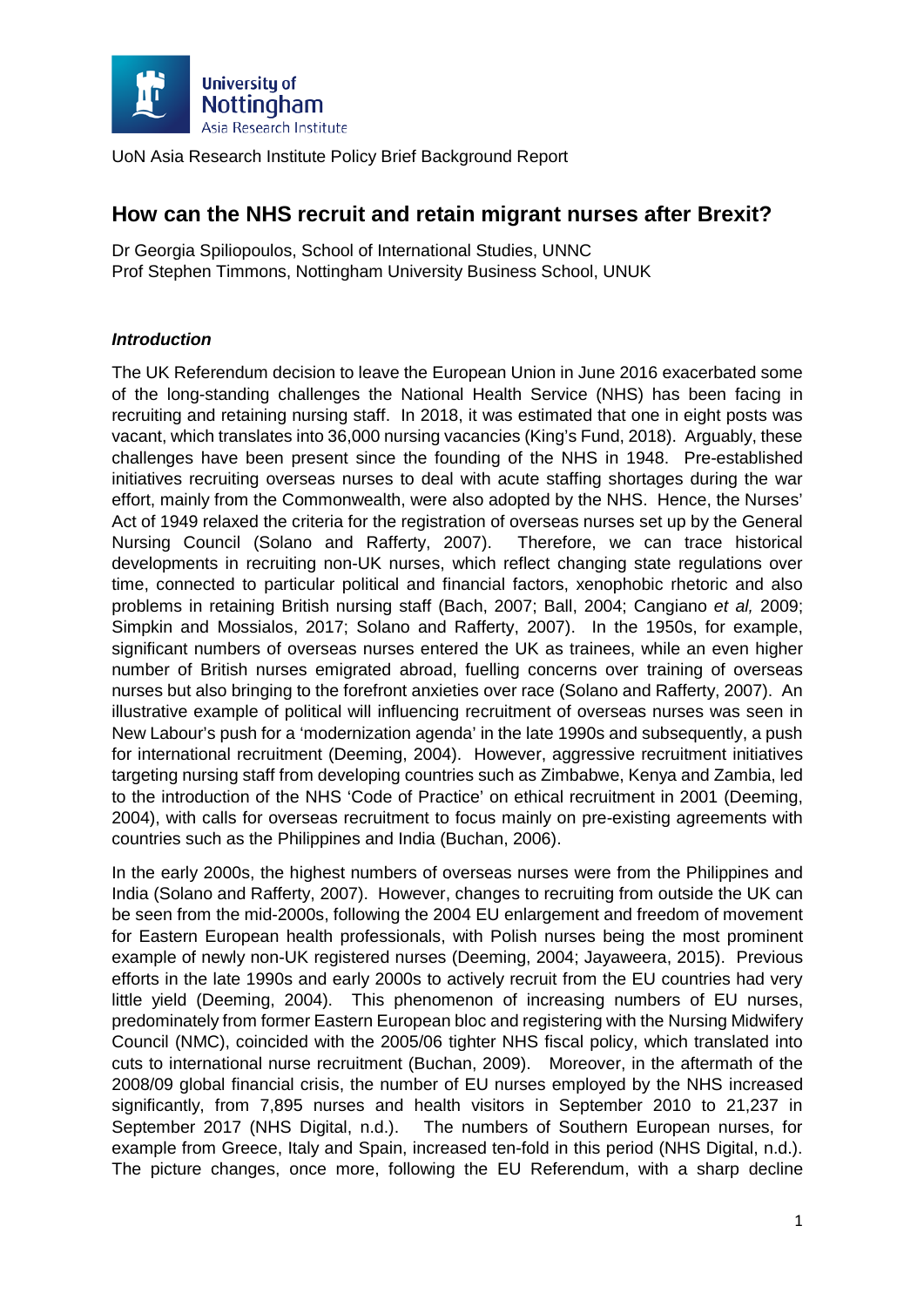

# **How can the NHS recruit and retain migrant nurses after Brexit?**

Dr Georgia Spiliopoulos, School of International Studies, UNNC Prof Stephen Timmons, Nottingham University Business School, UNUK

## *Introduction*

The UK Referendum decision to leave the European Union in June 2016 exacerbated some of the long-standing challenges the National Health Service (NHS) has been facing in recruiting and retaining nursing staff. In 2018, it was estimated that one in eight posts was vacant, which translates into 36,000 nursing vacancies (King's Fund, 2018). Arguably, these challenges have been present since the founding of the NHS in 1948. Pre-established initiatives recruiting overseas nurses to deal with acute staffing shortages during the war effort, mainly from the Commonwealth, were also adopted by the NHS. Hence, the Nurses' Act of 1949 relaxed the criteria for the registration of overseas nurses set up by the General Nursing Council (Solano and Rafferty, 2007). Therefore, we can trace historical developments in recruiting non-UK nurses, which reflect changing state regulations over time, connected to particular political and financial factors, xenophobic rhetoric and also problems in retaining British nursing staff (Bach, 2007; Ball, 2004; Cangiano *et al,* 2009; Simpkin and Mossialos, 2017; Solano and Rafferty, 2007). In the 1950s, for example, significant numbers of overseas nurses entered the UK as trainees, while an even higher number of British nurses emigrated abroad, fuelling concerns over training of overseas nurses but also bringing to the forefront anxieties over race (Solano and Rafferty, 2007). An illustrative example of political will influencing recruitment of overseas nurses was seen in New Labour's push for a 'modernization agenda' in the late 1990s and subsequently, a push for international recruitment (Deeming, 2004). However, aggressive recruitment initiatives targeting nursing staff from developing countries such as Zimbabwe, Kenya and Zambia, led to the introduction of the NHS 'Code of Practice' on ethical recruitment in 2001 (Deeming, 2004), with calls for overseas recruitment to focus mainly on pre-existing agreements with countries such as the Philippines and India (Buchan, 2006).

In the early 2000s, the highest numbers of overseas nurses were from the Philippines and India (Solano and Rafferty, 2007). However, changes to recruiting from outside the UK can be seen from the mid-2000s, following the 2004 EU enlargement and freedom of movement for Eastern European health professionals, with Polish nurses being the most prominent example of newly non-UK registered nurses (Deeming, 2004; Jayaweera, 2015). Previous efforts in the late 1990s and early 2000s to actively recruit from the EU countries had very little yield (Deeming, 2004). This phenomenon of increasing numbers of EU nurses, predominately from former Eastern European bloc and registering with the Nursing Midwifery Council (NMC), coincided with the 2005/06 tighter NHS fiscal policy, which translated into cuts to international nurse recruitment (Buchan, 2009). Moreover, in the aftermath of the 2008/09 global financial crisis, the number of EU nurses employed by the NHS increased significantly, from 7,895 nurses and health visitors in September 2010 to 21,237 in September 2017 (NHS Digital, n.d.). The numbers of Southern European nurses, for example from Greece, Italy and Spain, increased ten-fold in this period (NHS Digital, n.d.). The picture changes, once more, following the EU Referendum, with a sharp decline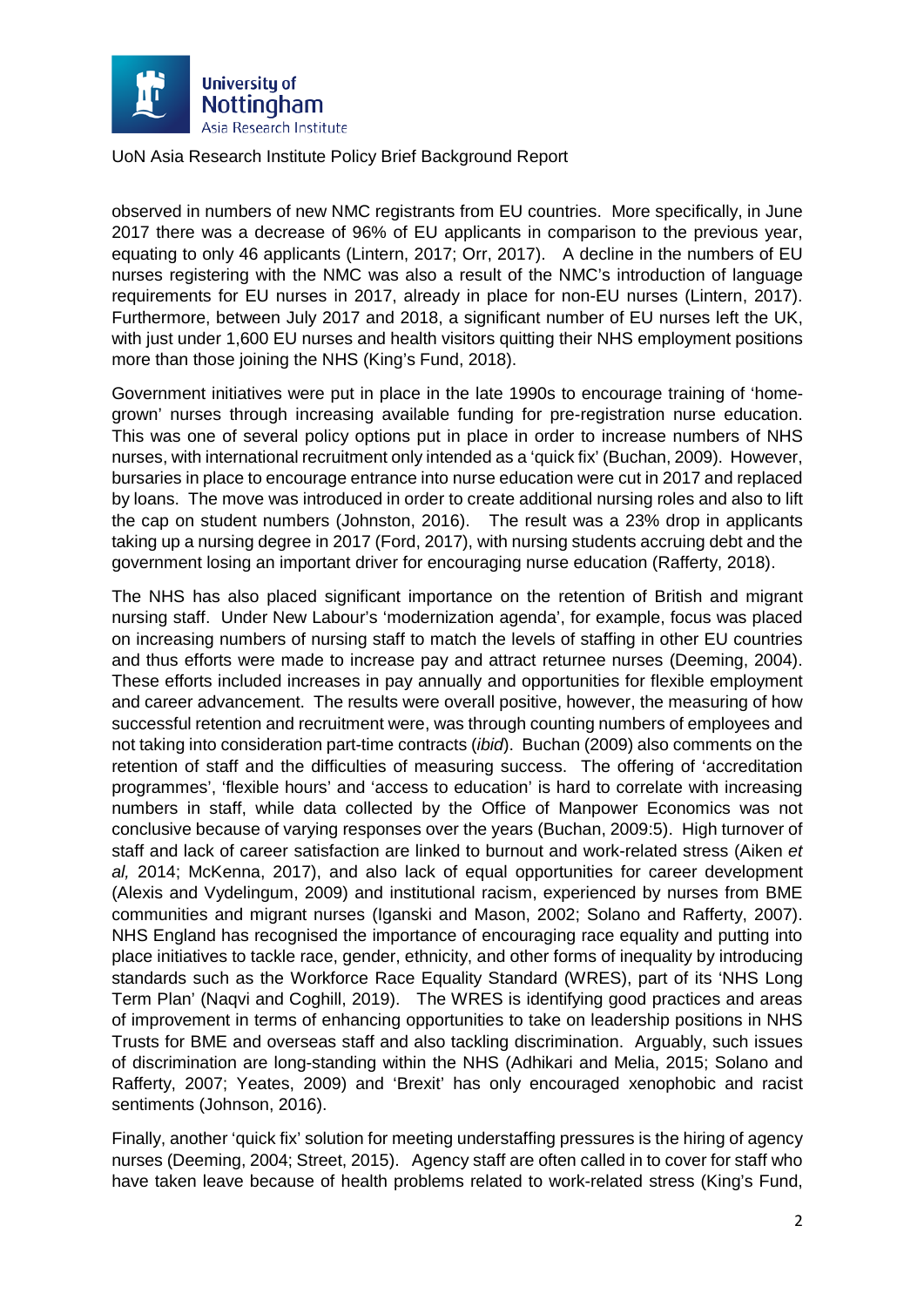

observed in numbers of new NMC registrants from EU countries. More specifically, in June 2017 there was a decrease of 96% of EU applicants in comparison to the previous year, equating to only 46 applicants (Lintern, 2017; Orr, 2017). A decline in the numbers of EU nurses registering with the NMC was also a result of the NMC's introduction of language requirements for EU nurses in 2017, already in place for non-EU nurses (Lintern, 2017). Furthermore, between July 2017 and 2018, a significant number of EU nurses left the UK, with just under 1,600 EU nurses and health visitors quitting their NHS employment positions more than those joining the NHS (King's Fund, 2018).

Government initiatives were put in place in the late 1990s to encourage training of 'homegrown' nurses through increasing available funding for pre-registration nurse education. This was one of several policy options put in place in order to increase numbers of NHS nurses, with international recruitment only intended as a 'quick fix' (Buchan, 2009). However, bursaries in place to encourage entrance into nurse education were cut in 2017 and replaced by loans. The move was introduced in order to create additional nursing roles and also to lift the cap on student numbers (Johnston, 2016). The result was a 23% drop in applicants taking up a nursing degree in 2017 (Ford, 2017), with nursing students accruing debt and the government losing an important driver for encouraging nurse education (Rafferty, 2018).

The NHS has also placed significant importance on the retention of British and migrant nursing staff. Under New Labour's 'modernization agenda', for example, focus was placed on increasing numbers of nursing staff to match the levels of staffing in other EU countries and thus efforts were made to increase pay and attract returnee nurses (Deeming, 2004). These efforts included increases in pay annually and opportunities for flexible employment and career advancement. The results were overall positive, however, the measuring of how successful retention and recruitment were, was through counting numbers of employees and not taking into consideration part-time contracts (*ibid*). Buchan (2009) also comments on the retention of staff and the difficulties of measuring success. The offering of 'accreditation programmes', 'flexible hours' and 'access to education' is hard to correlate with increasing numbers in staff, while data collected by the Office of Manpower Economics was not conclusive because of varying responses over the years (Buchan, 2009:5). High turnover of staff and lack of career satisfaction are linked to burnout and work-related stress (Aiken *et al,* 2014; McKenna, 2017), and also lack of equal opportunities for career development (Alexis and Vydelingum, 2009) and institutional racism, experienced by nurses from BME communities and migrant nurses (Iganski and Mason, 2002; Solano and Rafferty, 2007). NHS England has recognised the importance of encouraging race equality and putting into place initiatives to tackle race, gender, ethnicity, and other forms of inequality by introducing standards such as the Workforce Race Equality Standard (WRES), part of its 'NHS Long Term Plan' (Naqvi and Coghill, 2019). The WRES is identifying good practices and areas of improvement in terms of enhancing opportunities to take on leadership positions in NHS Trusts for BME and overseas staff and also tackling discrimination. Arguably, such issues of discrimination are long-standing within the NHS (Adhikari and Melia, 2015; Solano and Rafferty, 2007; Yeates, 2009) and 'Brexit' has only encouraged xenophobic and racist sentiments (Johnson, 2016).

Finally, another 'quick fix' solution for meeting understaffing pressures is the hiring of agency nurses (Deeming, 2004; Street, 2015). Agency staff are often called in to cover for staff who have taken leave because of health problems related to work-related stress (King's Fund,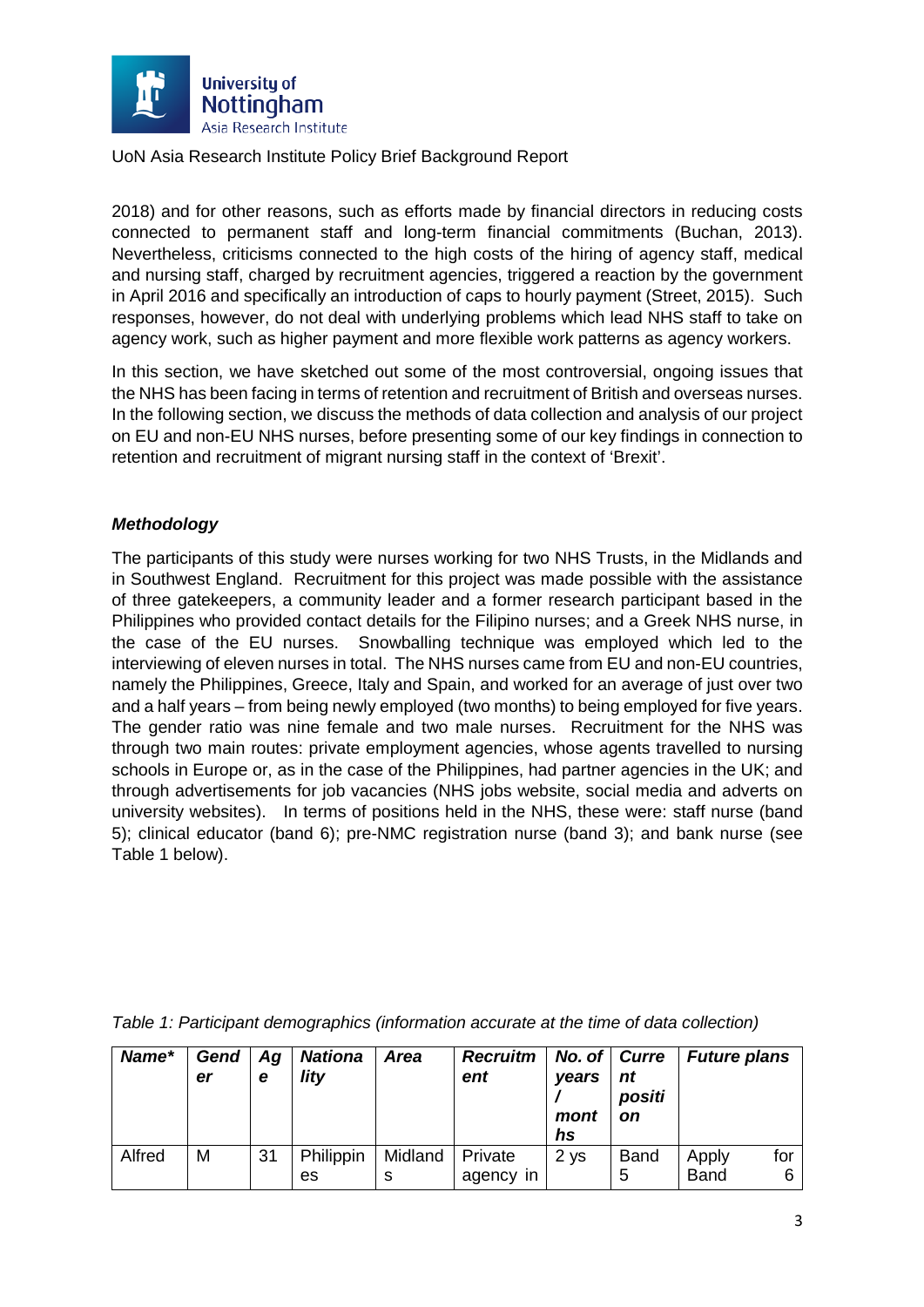

2018) and for other reasons, such as efforts made by financial directors in reducing costs connected to permanent staff and long-term financial commitments (Buchan, 2013). Nevertheless, criticisms connected to the high costs of the hiring of agency staff, medical and nursing staff, charged by recruitment agencies, triggered a reaction by the government in April 2016 and specifically an introduction of caps to hourly payment (Street, 2015). Such responses, however, do not deal with underlying problems which lead NHS staff to take on agency work, such as higher payment and more flexible work patterns as agency workers.

In this section, we have sketched out some of the most controversial, ongoing issues that the NHS has been facing in terms of retention and recruitment of British and overseas nurses. In the following section, we discuss the methods of data collection and analysis of our project on EU and non-EU NHS nurses, before presenting some of our key findings in connection to retention and recruitment of migrant nursing staff in the context of 'Brexit'.

#### *Methodology*

The participants of this study were nurses working for two NHS Trusts, in the Midlands and in Southwest England. Recruitment for this project was made possible with the assistance of three gatekeepers, a community leader and a former research participant based in the Philippines who provided contact details for the Filipino nurses; and a Greek NHS nurse, in the case of the EU nurses. Snowballing technique was employed which led to the interviewing of eleven nurses in total. The NHS nurses came from EU and non-EU countries, namely the Philippines, Greece, Italy and Spain, and worked for an average of just over two and a half years – from being newly employed (two months) to being employed for five years. The gender ratio was nine female and two male nurses. Recruitment for the NHS was through two main routes: private employment agencies, whose agents travelled to nursing schools in Europe or, as in the case of the Philippines, had partner agencies in the UK; and through advertisements for job vacancies (NHS jobs website, social media and adverts on university websites). In terms of positions held in the NHS, these were: staff nurse (band 5); clinical educator (band 6); pre-NMC registration nurse (band 3); and bank nurse (see Table 1 below).

| Name*  | Gend<br>er | Ag<br>е | <b>Nationa</b><br>lity | <b>Area</b>             | <b>Recruitm</b><br>ent | No. of   Curre<br>vears<br>mont<br>hs | nt<br>positi<br><b>on</b> | <b>Future plans</b>  |          |
|--------|------------|---------|------------------------|-------------------------|------------------------|---------------------------------------|---------------------------|----------------------|----------|
| Alfred | М          | 31      | Philippin<br>es        | Midland<br><sub>S</sub> | Private<br>agency in   | 2 <sub>ys</sub>                       | <b>Band</b><br>5          | Apply<br><b>Band</b> | for<br>6 |

*Table 1: Participant demographics (information accurate at the time of data collection)*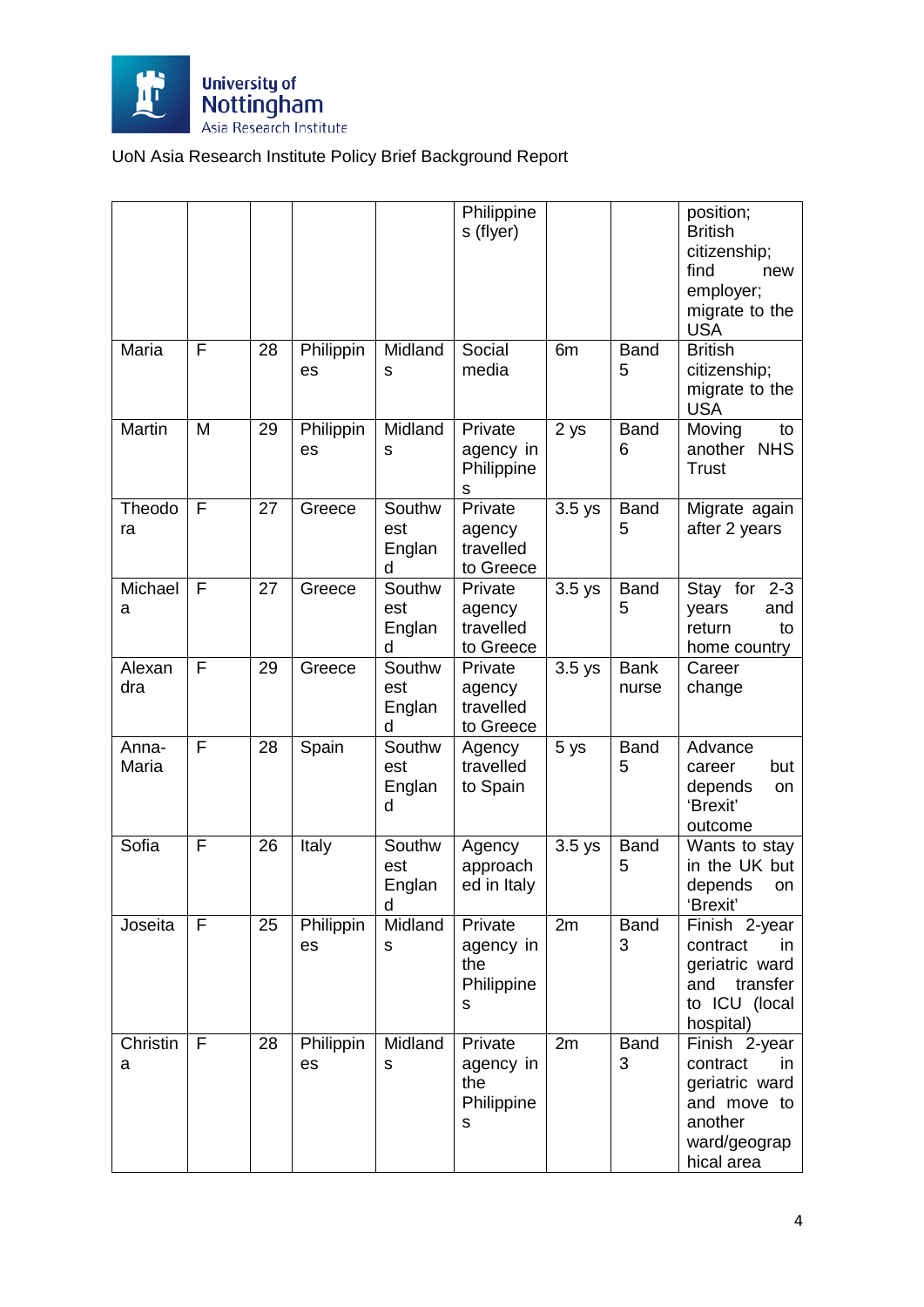

|                |              |    |                 |                              | Philippine<br>s (flyer)                        |                     |                      | position;<br><b>British</b><br>citizenship;<br>find<br>new<br>employer;<br>migrate to the<br><b>USA</b>    |
|----------------|--------------|----|-----------------|------------------------------|------------------------------------------------|---------------------|----------------------|------------------------------------------------------------------------------------------------------------|
| Maria          | F            | 28 | Philippin<br>es | Midland<br>S                 | Social<br>media                                | 6m                  | <b>Band</b><br>5     | <b>British</b><br>citizenship;<br>migrate to the<br><b>USA</b>                                             |
| Martin         | M            | 29 | Philippin<br>es | Midland<br>s                 | Private<br>agency in<br>Philippine<br>s        | 2 ys                | <b>Band</b><br>6     | Moving<br>to<br><b>NHS</b><br>another<br><b>Trust</b>                                                      |
| Theodo<br>ra   | F            | 27 | Greece          | Southw<br>est<br>Englan<br>d | Private<br>agency<br>travelled<br>to Greece    | $3.5$ ys            | <b>Band</b><br>5     | Migrate again<br>after 2 years                                                                             |
| Michael<br>a   | F            | 27 | Greece          | Southw<br>est<br>Englan<br>d | Private<br>agency<br>travelled<br>to Greece    | $\overline{3.5}$ ys | <b>Band</b><br>5     | Stay for<br>$2 - 3$<br>years<br>and<br>return<br>to<br>home country                                        |
| Alexan<br>dra  | F            | 29 | Greece          | Southw<br>est<br>Englan<br>d | Private<br>agency<br>travelled<br>to Greece    | $3.5$ ys            | <b>Bank</b><br>nurse | Career<br>change                                                                                           |
| Anna-<br>Maria | F            | 28 | Spain           | Southw<br>est<br>Englan<br>d | Agency<br>travelled<br>to Spain                | 5 ys                | <b>Band</b><br>5     | Advance<br>but<br>career<br>depends<br>on<br>'Brexit'<br>outcome                                           |
| Sofia          | F            | 26 | Italy           | Southw<br>est<br>Englan<br>d | Agency<br>approach<br>ed in Italy              | $3.5$ ys            | <b>Band</b><br>5     | Wants to stay<br>in the UK but<br>depends<br>on<br>'Brexit'                                                |
| Joseita        | $\mathsf{F}$ | 25 | Philippin<br>es | Midland<br>S                 | Private<br>agency in<br>the<br>Philippine<br>s | 2m                  | <b>Band</b><br>3     | Finish 2-year<br>contract<br>in.<br>geriatric ward<br>and transfer<br>to ICU (local<br>hospital)           |
| Christin<br>a  | F            | 28 | Philippin<br>es | Midland<br>s                 | Private<br>agency in<br>the<br>Philippine<br>s | 2m                  | <b>Band</b><br>3     | Finish 2-year<br>contract<br>in.<br>geriatric ward<br>and move to<br>another<br>ward/geograp<br>hical area |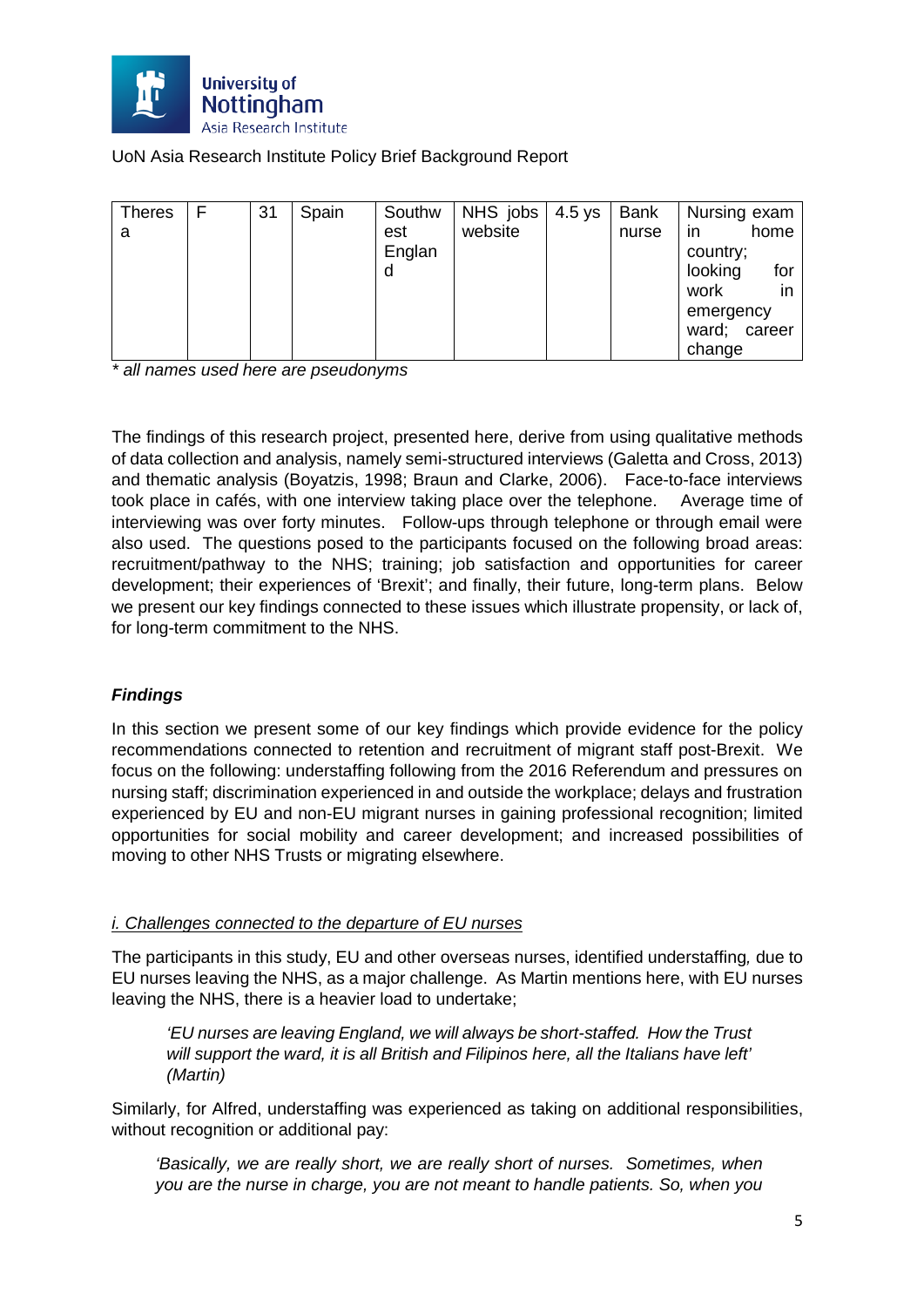

| Theres | F | 31 | Spain | Southw | NHS jobs | $4.5$ ys | <b>Bank</b> | Nursing exam   |
|--------|---|----|-------|--------|----------|----------|-------------|----------------|
| а      |   |    |       | est    | website  |          | nurse       | home<br>in     |
|        |   |    |       | Englan |          |          |             | country;       |
|        |   |    |       | d      |          |          |             | looking<br>for |
|        |   |    |       |        |          |          |             | in<br>work     |
|        |   |    |       |        |          |          |             | emergency      |
|        |   |    |       |        |          |          |             | ward; career   |
|        |   |    |       |        |          |          |             | change         |

*\* all names used here are pseudonyms*

The findings of this research project, presented here, derive from using qualitative methods of data collection and analysis, namely semi-structured interviews (Galetta and Cross, 2013) and thematic analysis (Boyatzis, 1998; Braun and Clarke, 2006). Face-to-face interviews took place in cafés, with one interview taking place over the telephone. Average time of interviewing was over forty minutes. Follow-ups through telephone or through email were also used. The questions posed to the participants focused on the following broad areas: recruitment/pathway to the NHS; training; job satisfaction and opportunities for career development; their experiences of 'Brexit'; and finally, their future, long-term plans. Below we present our key findings connected to these issues which illustrate propensity, or lack of, for long-term commitment to the NHS.

## *Findings*

In this section we present some of our key findings which provide evidence for the policy recommendations connected to retention and recruitment of migrant staff post-Brexit. We focus on the following: understaffing following from the 2016 Referendum and pressures on nursing staff; discrimination experienced in and outside the workplace; delays and frustration experienced by EU and non-EU migrant nurses in gaining professional recognition; limited opportunities for social mobility and career development; and increased possibilities of moving to other NHS Trusts or migrating elsewhere.

#### *i. Challenges connected to the departure of EU nurses*

The participants in this study, EU and other overseas nurses, identified understaffing*,* due to EU nurses leaving the NHS, as a major challenge. As Martin mentions here, with EU nurses leaving the NHS, there is a heavier load to undertake;

*'EU nurses are leaving England, we will always be short-staffed. How the Trust will support the ward, it is all British and Filipinos here, all the Italians have left' (Martin)*

Similarly, for Alfred, understaffing was experienced as taking on additional responsibilities, without recognition or additional pay:

*'Basically, we are really short, we are really short of nurses. Sometimes, when you are the nurse in charge, you are not meant to handle patients. So, when you*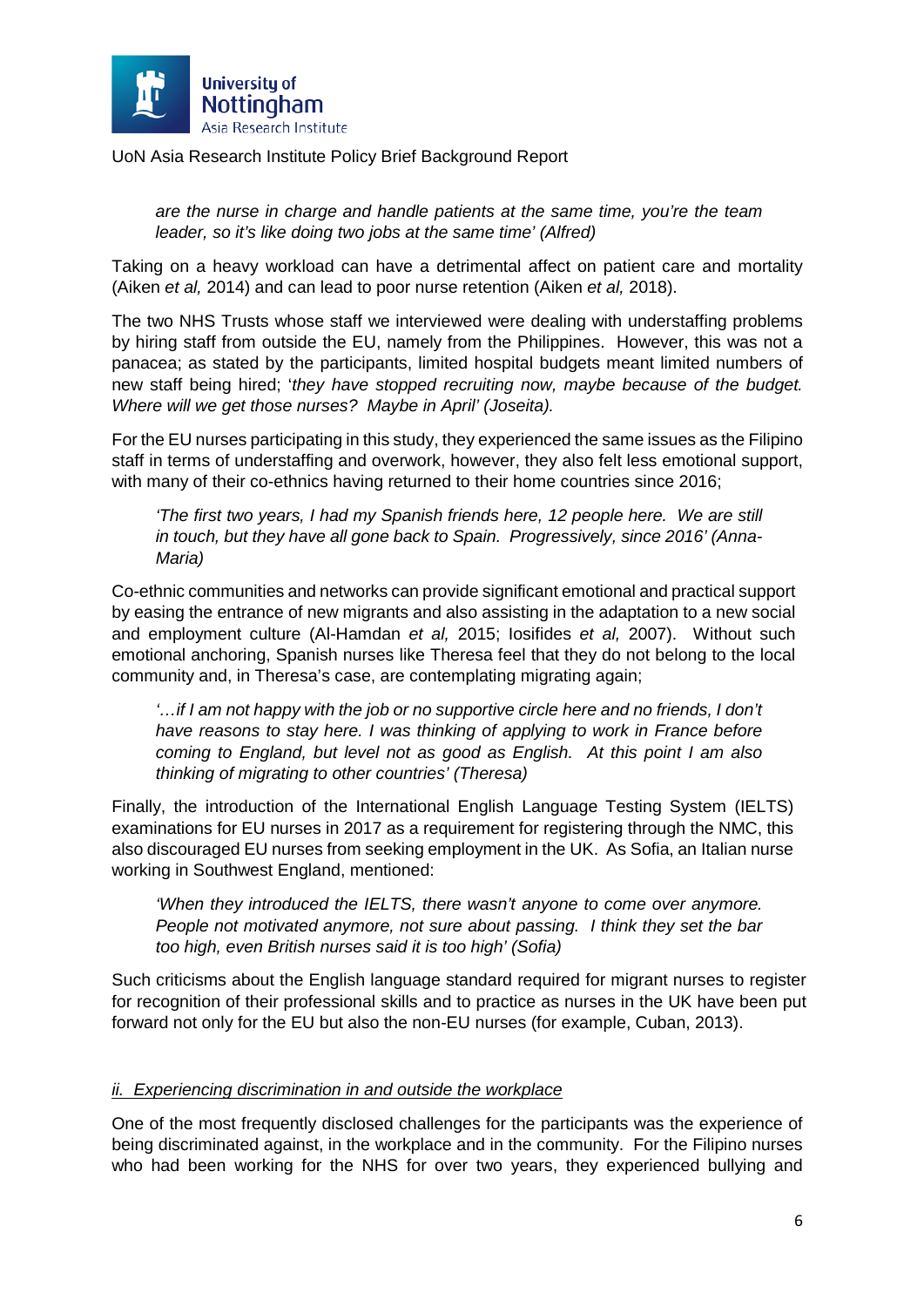

*are the nurse in charge and handle patients at the same time, you're the team leader, so it's like doing two jobs at the same time' (Alfred)*

Taking on a heavy workload can have a detrimental affect on patient care and mortality (Aiken *et al,* 2014) and can lead to poor nurse retention (Aiken *et al,* 2018).

The two NHS Trusts whose staff we interviewed were dealing with understaffing problems by hiring staff from outside the EU, namely from the Philippines. However, this was not a panacea; as stated by the participants, limited hospital budgets meant limited numbers of new staff being hired; '*they have stopped recruiting now, maybe because of the budget. Where will we get those nurses? Maybe in April' (Joseita).*

For the EU nurses participating in this study, they experienced the same issues as the Filipino staff in terms of understaffing and overwork, however, they also felt less emotional support, with many of their co-ethnics having returned to their home countries since 2016;

*'The first two years, I had my Spanish friends here, 12 people here. We are still in touch, but they have all gone back to Spain. Progressively, since 2016' (Anna-Maria)* 

Co-ethnic communities and networks can provide significant emotional and practical support by easing the entrance of new migrants and also assisting in the adaptation to a new social and employment culture (Al-Hamdan *et al,* 2015; Iosifides *et al,* 2007). Without such emotional anchoring, Spanish nurses like Theresa feel that they do not belong to the local community and, in Theresa's case, are contemplating migrating again;

*'…if I am not happy with the job or no supportive circle here and no friends, I don't have reasons to stay here. I was thinking of applying to work in France before coming to England, but level not as good as English. At this point I am also thinking of migrating to other countries' (Theresa)*

Finally, the introduction of the International English Language Testing System (IELTS) examinations for EU nurses in 2017 as a requirement for registering through the NMC, this also discouraged EU nurses from seeking employment in the UK. As Sofia, an Italian nurse working in Southwest England, mentioned:

*'When they introduced the IELTS, there wasn't anyone to come over anymore. People not motivated anymore, not sure about passing. I think they set the bar too high, even British nurses said it is too high' (Sofia)*

Such criticisms about the English language standard required for migrant nurses to register for recognition of their professional skills and to practice as nurses in the UK have been put forward not only for the EU but also the non-EU nurses (for example, Cuban, 2013).

#### *ii. Experiencing discrimination in and outside the workplace*

One of the most frequently disclosed challenges for the participants was the experience of being discriminated against, in the workplace and in the community. For the Filipino nurses who had been working for the NHS for over two years, they experienced bullying and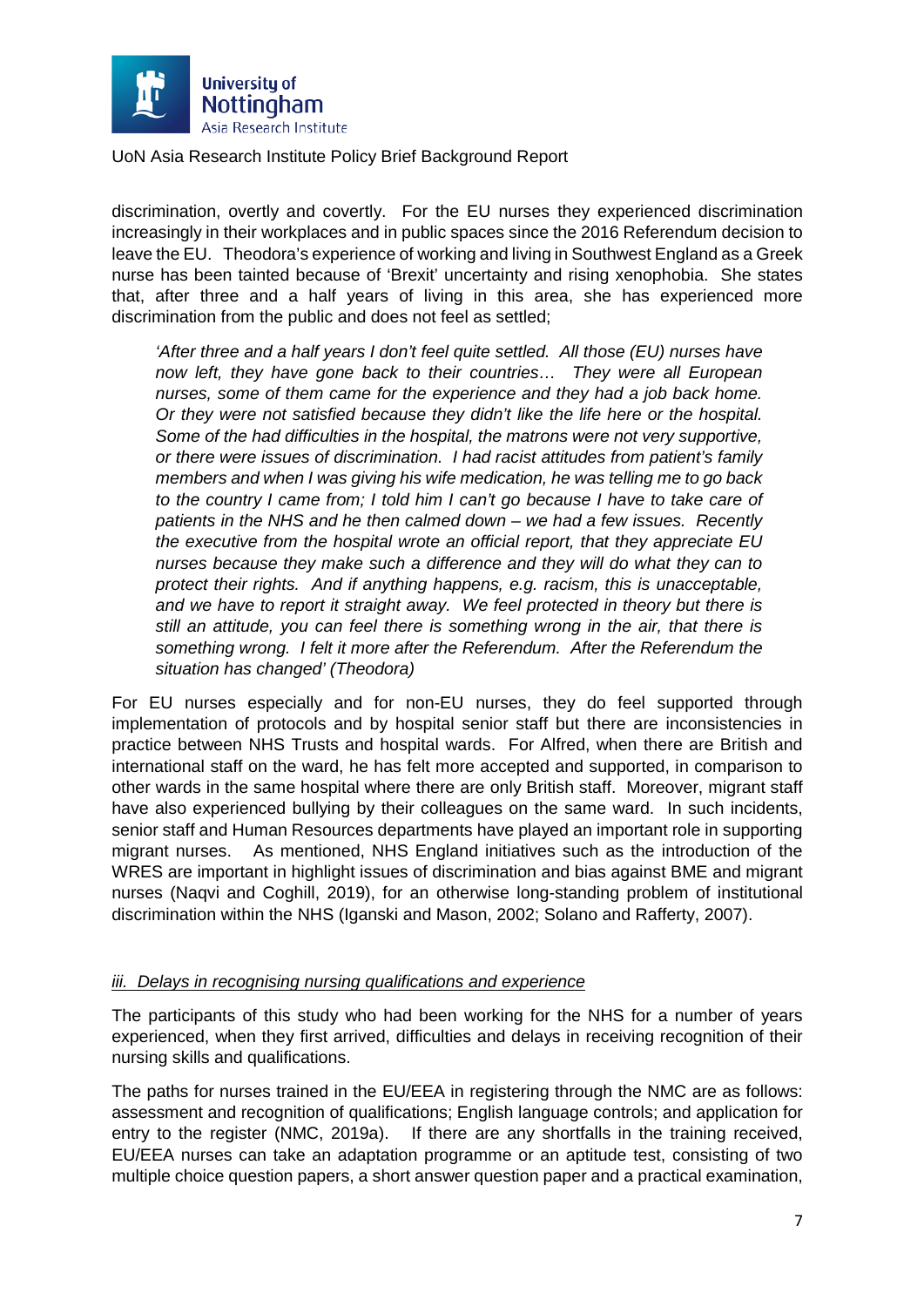

discrimination, overtly and covertly. For the EU nurses they experienced discrimination increasingly in their workplaces and in public spaces since the 2016 Referendum decision to leave the EU. Theodora's experience of working and living in Southwest England as a Greek nurse has been tainted because of 'Brexit' uncertainty and rising xenophobia. She states that, after three and a half years of living in this area, she has experienced more discrimination from the public and does not feel as settled;

*'After three and a half years I don't feel quite settled. All those (EU) nurses have now left, they have gone back to their countries… They were all European nurses, some of them came for the experience and they had a job back home. Or they were not satisfied because they didn't like the life here or the hospital. Some of the had difficulties in the hospital, the matrons were not very supportive, or there were issues of discrimination. I had racist attitudes from patient's family members and when I was giving his wife medication, he was telling me to go back to the country I came from; I told him I can't go because I have to take care of patients in the NHS and he then calmed down – we had a few issues. Recently the executive from the hospital wrote an official report, that they appreciate EU nurses because they make such a difference and they will do what they can to protect their rights. And if anything happens, e.g. racism, this is unacceptable, and we have to report it straight away. We feel protected in theory but there is still an attitude, you can feel there is something wrong in the air, that there is something wrong. I felt it more after the Referendum. After the Referendum the situation has changed' (Theodora)* 

For EU nurses especially and for non-EU nurses, they do feel supported through implementation of protocols and by hospital senior staff but there are inconsistencies in practice between NHS Trusts and hospital wards. For Alfred, when there are British and international staff on the ward, he has felt more accepted and supported, in comparison to other wards in the same hospital where there are only British staff. Moreover, migrant staff have also experienced bullying by their colleagues on the same ward. In such incidents, senior staff and Human Resources departments have played an important role in supporting migrant nurses. As mentioned, NHS England initiatives such as the introduction of the WRES are important in highlight issues of discrimination and bias against BME and migrant nurses (Naqvi and Coghill, 2019), for an otherwise long-standing problem of institutional discrimination within the NHS (Iganski and Mason, 2002; Solano and Rafferty, 2007).

#### *iii. Delays in recognising nursing qualifications and experience*

The participants of this study who had been working for the NHS for a number of years experienced, when they first arrived, difficulties and delays in receiving recognition of their nursing skills and qualifications.

The paths for nurses trained in the EU/EEA in registering through the NMC are as follows: assessment and recognition of qualifications; English language controls; and application for entry to the register (NMC, 2019a). If there are any shortfalls in the training received, EU/EEA nurses can take an adaptation programme or an aptitude test, consisting of two multiple choice question papers, a short answer question paper and a practical examination,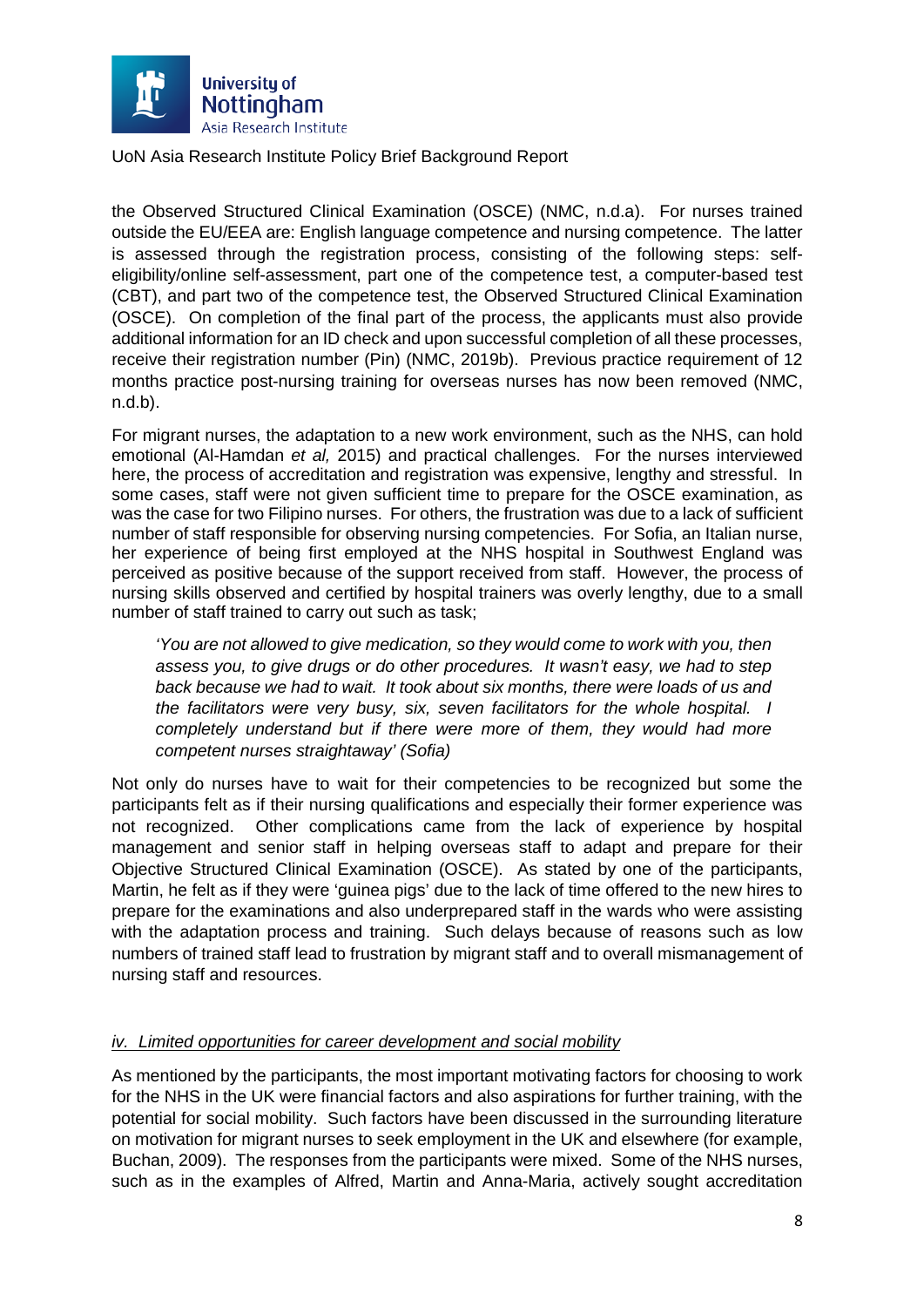

the Observed Structured Clinical Examination (OSCE) (NMC, n.d.a). For nurses trained outside the EU/EEA are: English language competence and nursing competence. The latter is assessed through the registration process, consisting of the following steps: selfeligibility/online self-assessment, part one of the competence test, a computer-based test (CBT), and part two of the competence test, the Observed Structured Clinical Examination (OSCE). On completion of the final part of the process, the applicants must also provide additional information for an ID check and upon successful completion of all these processes, receive their registration number (Pin) (NMC, 2019b). Previous practice requirement of 12 months practice post-nursing training for overseas nurses has now been removed (NMC, n.d.b).

For migrant nurses, the adaptation to a new work environment, such as the NHS, can hold emotional (Al-Hamdan *et al,* 2015) and practical challenges. For the nurses interviewed here, the process of accreditation and registration was expensive, lengthy and stressful. In some cases, staff were not given sufficient time to prepare for the OSCE examination, as was the case for two Filipino nurses. For others, the frustration was due to a lack of sufficient number of staff responsible for observing nursing competencies. For Sofia, an Italian nurse, her experience of being first employed at the NHS hospital in Southwest England was perceived as positive because of the support received from staff. However, the process of nursing skills observed and certified by hospital trainers was overly lengthy, due to a small number of staff trained to carry out such as task;

*'You are not allowed to give medication, so they would come to work with you, then assess you, to give drugs or do other procedures. It wasn't easy, we had to step back because we had to wait. It took about six months, there were loads of us and the facilitators were very busy, six, seven facilitators for the whole hospital. I completely understand but if there were more of them, they would had more competent nurses straightaway' (Sofia)* 

Not only do nurses have to wait for their competencies to be recognized but some the participants felt as if their nursing qualifications and especially their former experience was not recognized. Other complications came from the lack of experience by hospital management and senior staff in helping overseas staff to adapt and prepare for their Objective Structured Clinical Examination (OSCE). As stated by one of the participants, Martin, he felt as if they were 'guinea pigs' due to the lack of time offered to the new hires to prepare for the examinations and also underprepared staff in the wards who were assisting with the adaptation process and training. Such delays because of reasons such as low numbers of trained staff lead to frustration by migrant staff and to overall mismanagement of nursing staff and resources.

#### *iv. Limited opportunities for career development and social mobility*

As mentioned by the participants, the most important motivating factors for choosing to work for the NHS in the UK were financial factors and also aspirations for further training, with the potential for social mobility. Such factors have been discussed in the surrounding literature on motivation for migrant nurses to seek employment in the UK and elsewhere (for example, Buchan, 2009). The responses from the participants were mixed. Some of the NHS nurses, such as in the examples of Alfred, Martin and Anna-Maria, actively sought accreditation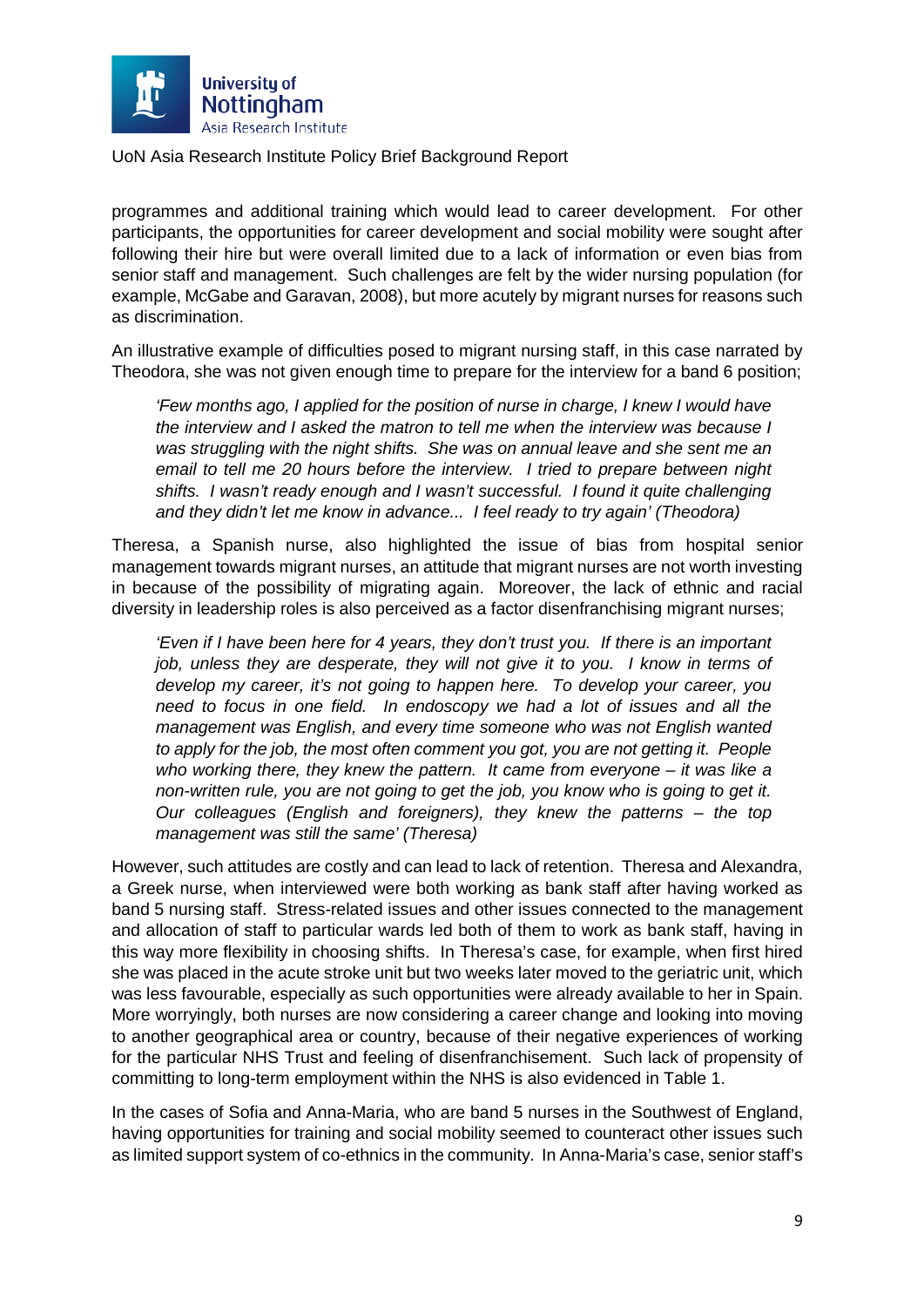

programmes and additional training which would lead to career development. For other participants, the opportunities for career development and social mobility were sought after following their hire but were overall limited due to a lack of information or even bias from senior staff and management. Such challenges are felt by the wider nursing population (for example, McGabe and Garavan, 2008), but more acutely by migrant nurses for reasons such as discrimination.

An illustrative example of difficulties posed to migrant nursing staff, in this case narrated by Theodora, she was not given enough time to prepare for the interview for a band 6 position;

*'Few months ago, I applied for the position of nurse in charge, I knew I would have the interview and I asked the matron to tell me when the interview was because I was struggling with the night shifts. She was on annual leave and she sent me an email to tell me 20 hours before the interview. I tried to prepare between night shifts. I wasn't ready enough and I wasn't successful. I found it quite challenging and they didn't let me know in advance... I feel ready to try again' (Theodora)*

Theresa, a Spanish nurse, also highlighted the issue of bias from hospital senior management towards migrant nurses, an attitude that migrant nurses are not worth investing in because of the possibility of migrating again. Moreover, the lack of ethnic and racial diversity in leadership roles is also perceived as a factor disenfranchising migrant nurses;

*'Even if I have been here for 4 years, they don't trust you. If there is an important job, unless they are desperate, they will not give it to you. I know in terms of develop my career, it's not going to happen here. To develop your career, you need to focus in one field. In endoscopy we had a lot of issues and all the management was English, and every time someone who was not English wanted to apply for the job, the most often comment you got, you are not getting it. People who working there, they knew the pattern. It came from everyone – it was like a non-written rule, you are not going to get the job, you know who is going to get it. Our colleagues (English and foreigners), they knew the patterns – the top management was still the same' (Theresa)* 

However, such attitudes are costly and can lead to lack of retention. Theresa and Alexandra, a Greek nurse, when interviewed were both working as bank staff after having worked as band 5 nursing staff. Stress-related issues and other issues connected to the management and allocation of staff to particular wards led both of them to work as bank staff, having in this way more flexibility in choosing shifts. In Theresa's case, for example, when first hired she was placed in the acute stroke unit but two weeks later moved to the geriatric unit, which was less favourable, especially as such opportunities were already available to her in Spain. More worryingly, both nurses are now considering a career change and looking into moving to another geographical area or country, because of their negative experiences of working for the particular NHS Trust and feeling of disenfranchisement. Such lack of propensity of committing to long-term employment within the NHS is also evidenced in Table 1.

In the cases of Sofia and Anna-Maria, who are band 5 nurses in the Southwest of England, having opportunities for training and social mobility seemed to counteract other issues such as limited support system of co-ethnics in the community. In Anna-Maria's case, senior staff's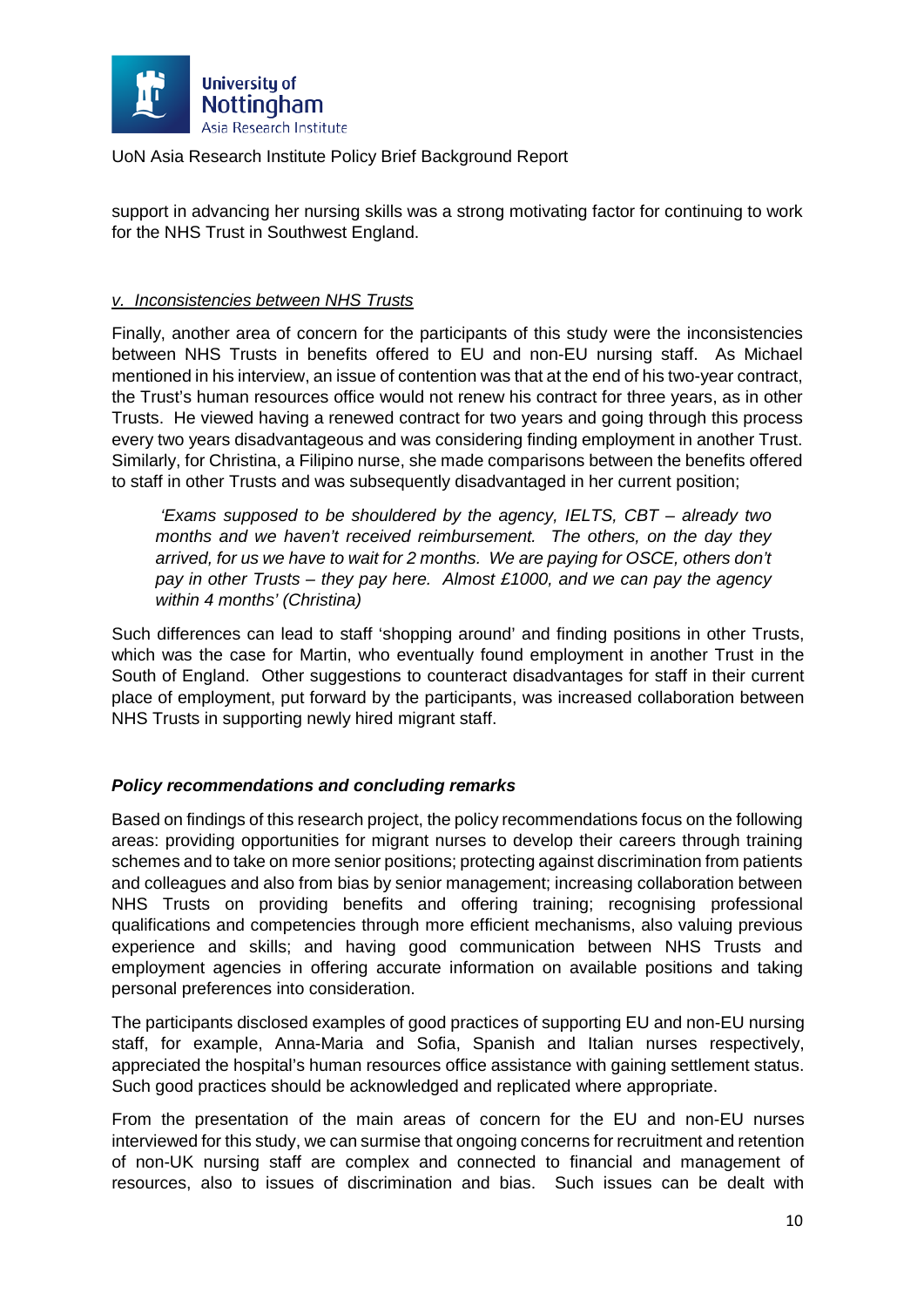

support in advancing her nursing skills was a strong motivating factor for continuing to work for the NHS Trust in Southwest England.

#### *v. Inconsistencies between NHS Trusts*

Finally, another area of concern for the participants of this study were the inconsistencies between NHS Trusts in benefits offered to EU and non-EU nursing staff. As Michael mentioned in his interview, an issue of contention was that at the end of his two-year contract, the Trust's human resources office would not renew his contract for three years, as in other Trusts. He viewed having a renewed contract for two years and going through this process every two years disadvantageous and was considering finding employment in another Trust. Similarly, for Christina, a Filipino nurse, she made comparisons between the benefits offered to staff in other Trusts and was subsequently disadvantaged in her current position;

*'Exams supposed to be shouldered by the agency, IELTS, CBT – already two months and we haven't received reimbursement. The others, on the day they arrived, for us we have to wait for 2 months. We are paying for OSCE, others don't pay in other Trusts – they pay here. Almost £1000, and we can pay the agency within 4 months' (Christina)* 

Such differences can lead to staff 'shopping around' and finding positions in other Trusts, which was the case for Martin, who eventually found employment in another Trust in the South of England. Other suggestions to counteract disadvantages for staff in their current place of employment, put forward by the participants, was increased collaboration between NHS Trusts in supporting newly hired migrant staff.

#### *Policy recommendations and concluding remarks*

Based on findings of this research project, the policy recommendations focus on the following areas: providing opportunities for migrant nurses to develop their careers through training schemes and to take on more senior positions; protecting against discrimination from patients and colleagues and also from bias by senior management; increasing collaboration between NHS Trusts on providing benefits and offering training; recognising professional qualifications and competencies through more efficient mechanisms, also valuing previous experience and skills; and having good communication between NHS Trusts and employment agencies in offering accurate information on available positions and taking personal preferences into consideration.

The participants disclosed examples of good practices of supporting EU and non-EU nursing staff, for example, Anna-Maria and Sofia, Spanish and Italian nurses respectively, appreciated the hospital's human resources office assistance with gaining settlement status. Such good practices should be acknowledged and replicated where appropriate.

From the presentation of the main areas of concern for the EU and non-EU nurses interviewed for this study, we can surmise that ongoing concerns for recruitment and retention of non-UK nursing staff are complex and connected to financial and management of resources, also to issues of discrimination and bias. Such issues can be dealt with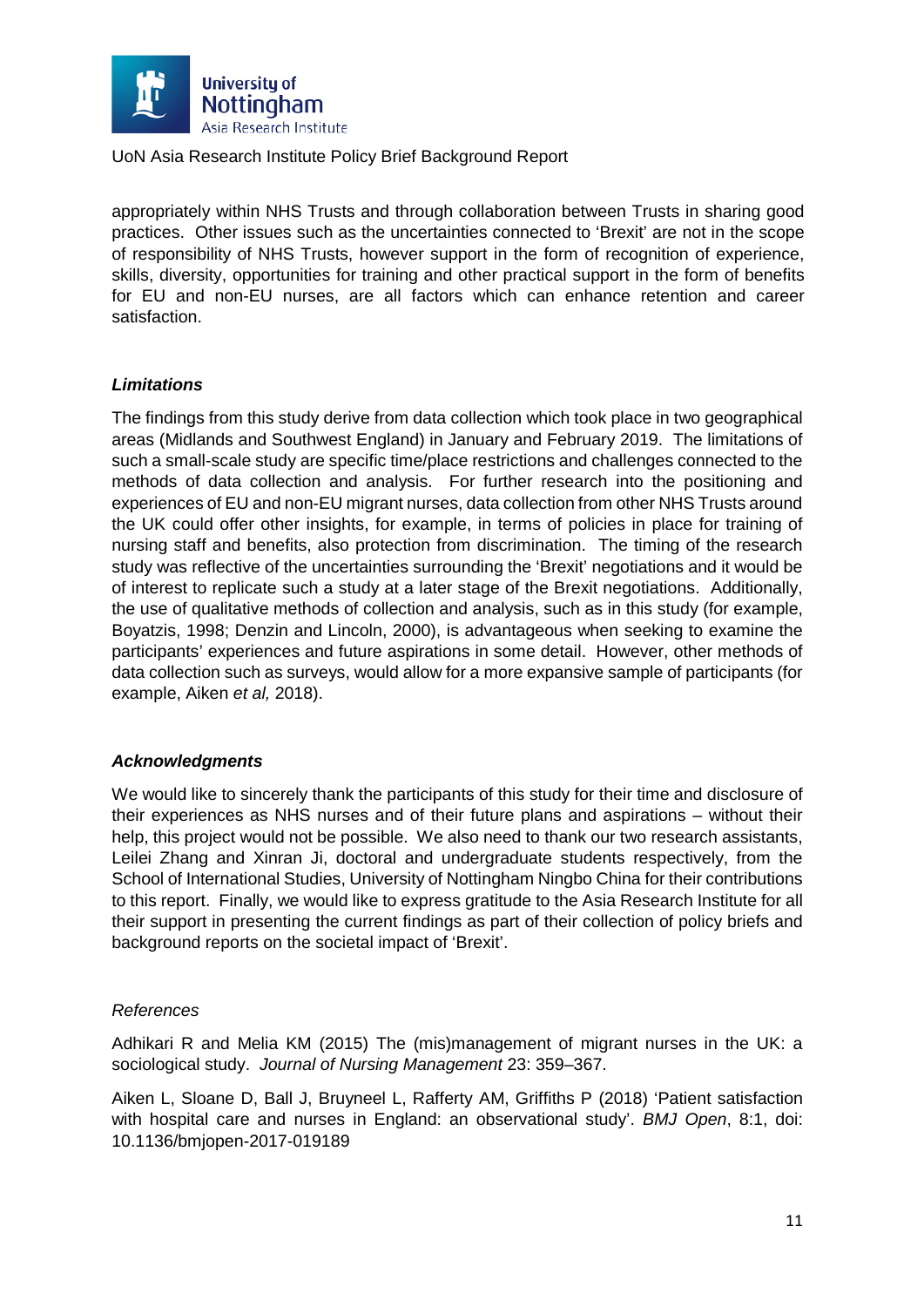

appropriately within NHS Trusts and through collaboration between Trusts in sharing good practices. Other issues such as the uncertainties connected to 'Brexit' are not in the scope of responsibility of NHS Trusts, however support in the form of recognition of experience, skills, diversity, opportunities for training and other practical support in the form of benefits for EU and non-EU nurses, are all factors which can enhance retention and career satisfaction.

#### *Limitations*

The findings from this study derive from data collection which took place in two geographical areas (Midlands and Southwest England) in January and February 2019. The limitations of such a small-scale study are specific time/place restrictions and challenges connected to the methods of data collection and analysis. For further research into the positioning and experiences of EU and non-EU migrant nurses, data collection from other NHS Trusts around the UK could offer other insights, for example, in terms of policies in place for training of nursing staff and benefits, also protection from discrimination. The timing of the research study was reflective of the uncertainties surrounding the 'Brexit' negotiations and it would be of interest to replicate such a study at a later stage of the Brexit negotiations. Additionally, the use of qualitative methods of collection and analysis, such as in this study (for example, Boyatzis, 1998; Denzin and Lincoln, 2000), is advantageous when seeking to examine the participants' experiences and future aspirations in some detail. However, other methods of data collection such as surveys, would allow for a more expansive sample of participants (for example, Aiken *et al,* 2018).

#### *Acknowledgments*

We would like to sincerely thank the participants of this study for their time and disclosure of their experiences as NHS nurses and of their future plans and aspirations – without their help, this project would not be possible. We also need to thank our two research assistants, Leilei Zhang and Xinran Ji, doctoral and undergraduate students respectively, from the School of International Studies, University of Nottingham Ningbo China for their contributions to this report. Finally, we would like to express gratitude to the Asia Research Institute for all their support in presenting the current findings as part of their collection of policy briefs and background reports on the societal impact of 'Brexit'.

#### *References*

Adhikari R and Melia KM (2015) The (mis)management of migrant nurses in the UK: a sociological study. *Journal of Nursing Management* 23: 359–367.

Aiken L, Sloane D, Ball J, Bruyneel L, Rafferty AM, Griffiths P (2018) 'Patient satisfaction with hospital care and nurses in England: an observational study'. *BMJ Open*, 8:1, doi: 10.1136/bmjopen-2017-019189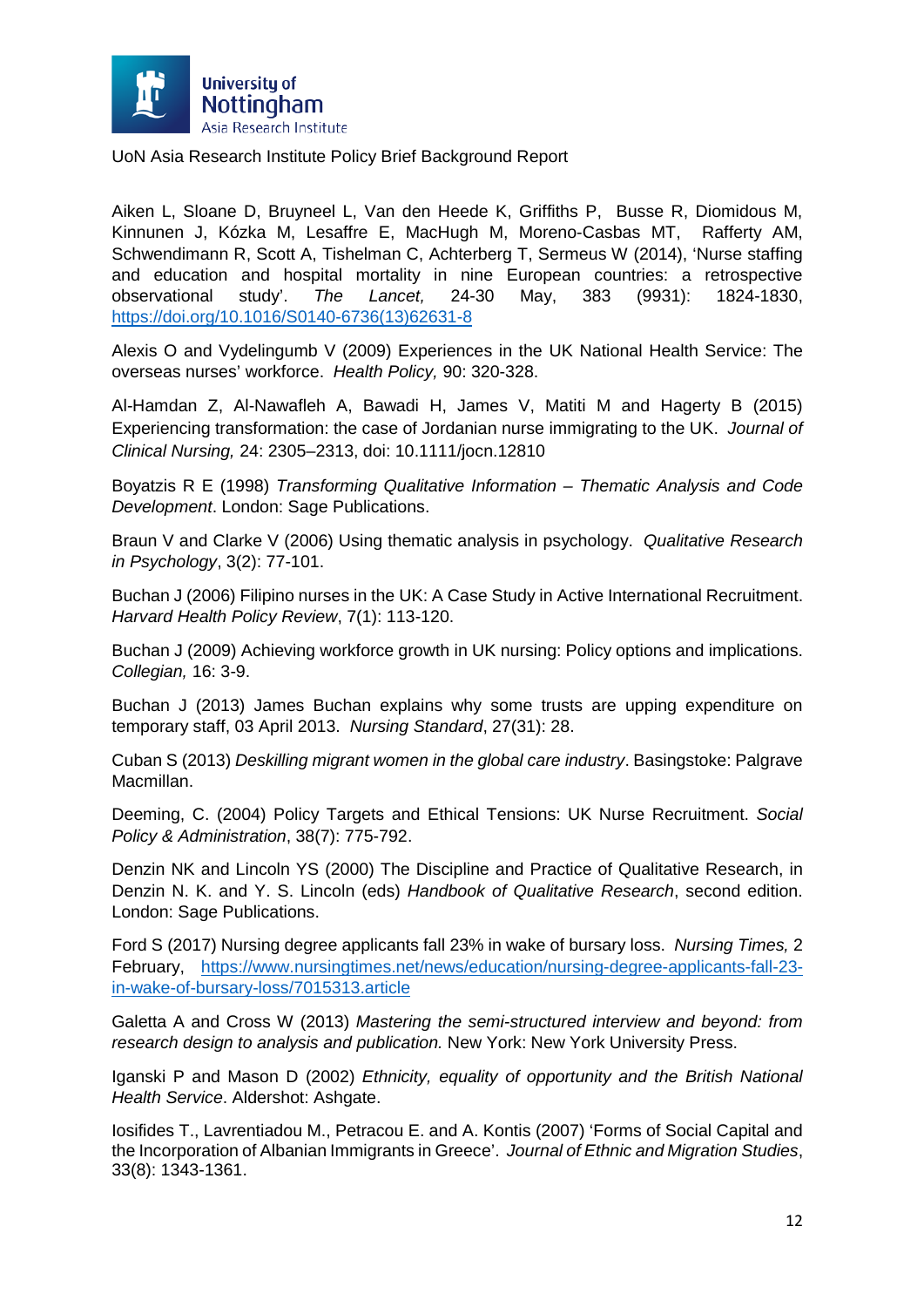

Aiken L, Sloane D, Bruyneel L, Van den Heede K, Griffiths P, Busse R, Diomidous M, Kinnunen J, Kózka M, Lesaffre E, MacHugh M, Moreno-Casbas MT, Rafferty AM, Schwendimann R, Scott A, Tishelman C, Achterberg T, Sermeus W (2014), 'Nurse staffing and education and hospital mortality in nine European countries: a retrospective observational study'. *The Lancet,* 24-30 May, 383 (9931): 1824-1830, [https://doi.org/10.1016/S0140-6736\(13\)62631-8](https://doi.org/10.1016/S0140-6736(13)62631-8)

Alexis O and Vydelingumb V (2009) Experiences in the UK National Health Service: The overseas nurses' workforce. *Health Policy,* 90: 320-328.

Al-Hamdan Z, Al-Nawafleh A, Bawadi H, James V, Matiti M and Hagerty B (2015) Experiencing transformation: the case of Jordanian nurse immigrating to the UK. *Journal of Clinical Nursing,* 24: 2305–2313, doi: 10.1111/jocn.12810

Boyatzis R E (1998) *Transforming Qualitative Information – Thematic Analysis and Code Development*. London: Sage Publications.

Braun V and Clarke V (2006) Using thematic analysis in psychology. *Qualitative Research in Psychology*, 3(2): 77-101.

Buchan J (2006) Filipino nurses in the UK: A Case Study in Active International Recruitment. *Harvard Health Policy Review*, 7(1): 113-120.

Buchan J (2009) Achieving workforce growth in UK nursing: Policy options and implications. *Collegian,* 16: 3-9.

Buchan J (2013) James Buchan explains why some trusts are upping expenditure on temporary staff, 03 April 2013. *Nursing Standard*, 27(31): 28.

Cuban S (2013) *Deskilling migrant women in the global care industry*. Basingstoke: Palgrave Macmillan.

Deeming, C. (2004) Policy Targets and Ethical Tensions: UK Nurse Recruitment. *Social Policy & Administration*, 38(7): 775-792.

Denzin NK and Lincoln YS (2000) The Discipline and Practice of Qualitative Research, in Denzin N. K. and Y. S. Lincoln (eds) *Handbook of Qualitative Research*, second edition. London: Sage Publications.

Ford S (2017) Nursing degree applicants fall 23% in wake of bursary loss. *Nursing Times,* 2 February, [https://www.nursingtimes.net/news/education/nursing-degree-applicants-fall-23](https://www.nursingtimes.net/news/education/nursing-degree-applicants-fall-23-in-wake-of-bursary-loss/7015313.article) [in-wake-of-bursary-loss/7015313.article](https://www.nursingtimes.net/news/education/nursing-degree-applicants-fall-23-in-wake-of-bursary-loss/7015313.article)

Galetta A and Cross W (2013) *Mastering the semi-structured interview and beyond: from research design to analysis and publication.* New York: New York University Press.

Iganski P and Mason D (2002) *Ethnicity, equality of opportunity and the British National Health Service*. Aldershot: Ashgate.

Iosifides T., Lavrentiadou M., Petracou E. and A. Kontis (2007) 'Forms of Social Capital and the Incorporation of Albanian Immigrants in Greece'. *Journal of Ethnic and Migration Studies*, 33(8): 1343-1361.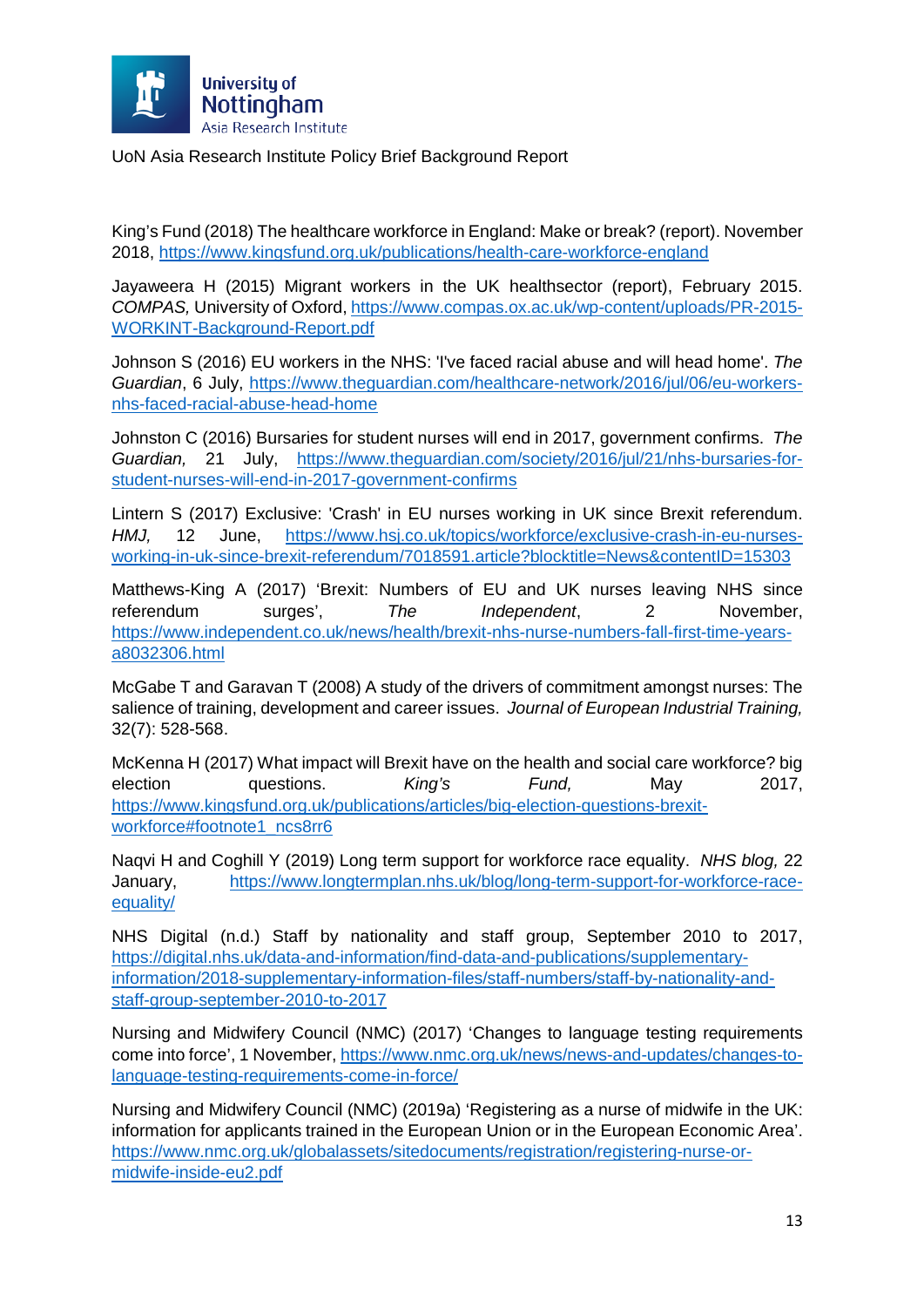

King's Fund (2018) The healthcare workforce in England: Make or break? (report). November 2018,<https://www.kingsfund.org.uk/publications/health-care-workforce-england>

Jayaweera H (2015) Migrant workers in the UK healthsector (report), February 2015. *COMPAS,* University of Oxford, [https://www.compas.ox.ac.uk/wp-content/uploads/PR-2015-](https://www.compas.ox.ac.uk/wp-content/uploads/PR-2015-WORKINT-Background-Report.pdf) [WORKINT-Background-Report.pdf](https://www.compas.ox.ac.uk/wp-content/uploads/PR-2015-WORKINT-Background-Report.pdf)

Johnson S (2016) EU workers in the NHS: 'I've faced racial abuse and will head home'. *The Guardian*, 6 July, [https://www.theguardian.com/healthcare-network/2016/jul/06/eu-workers](https://www.theguardian.com/healthcare-network/2016/jul/06/eu-workers-nhs-faced-racial-abuse-head-home)[nhs-faced-racial-abuse-head-home](https://www.theguardian.com/healthcare-network/2016/jul/06/eu-workers-nhs-faced-racial-abuse-head-home)

Johnston C (2016) Bursaries for student nurses will end in 2017, government confirms. *The Guardian,* 21 July, [https://www.theguardian.com/society/2016/jul/21/nhs-bursaries-for](https://www.theguardian.com/society/2016/jul/21/nhs-bursaries-for-student-nurses-will-end-in-2017-government-confirms)[student-nurses-will-end-in-2017-government-confirms](https://www.theguardian.com/society/2016/jul/21/nhs-bursaries-for-student-nurses-will-end-in-2017-government-confirms)

Lintern S (2017) Exclusive: 'Crash' in EU nurses working in UK since Brexit referendum. *HMJ,* 12 June, [https://www.hsj.co.uk/topics/workforce/exclusive-crash-in-eu-nurses](https://www.hsj.co.uk/topics/workforce/exclusive-crash-in-eu-nurses-working-in-uk-since-brexit-referendum/7018591.article?blocktitle=News&contentID=15303)[working-in-uk-since-brexit-referendum/7018591.article?blocktitle=News&contentID=15303](https://www.hsj.co.uk/topics/workforce/exclusive-crash-in-eu-nurses-working-in-uk-since-brexit-referendum/7018591.article?blocktitle=News&contentID=15303)

Matthews-King A (2017) 'Brexit: Numbers of EU and UK nurses leaving NHS since referendum surges', *The Independent*, 2 November, [https://www.independent.co.uk/news/health/brexit-nhs-nurse-numbers-fall-first-time-years](https://www.independent.co.uk/news/health/brexit-nhs-nurse-numbers-fall-first-time-years-a8032306.html)[a8032306.html](https://www.independent.co.uk/news/health/brexit-nhs-nurse-numbers-fall-first-time-years-a8032306.html)

McGabe T and Garavan T (2008) A study of the drivers of commitment amongst nurses: The salience of training, development and career issues. *Journal of European Industrial Training,*  32(7): 528-568.

McKenna H (2017) What impact will Brexit have on the health and social care workforce? big election questions. *King's Fund,* May 2017, [https://www.kingsfund.org.uk/publications/articles/big-election-questions-brexit](https://www.kingsfund.org.uk/publications/articles/big-election-questions-brexit-workforce#footnote1_ncs8rr6)[workforce#footnote1\\_ncs8rr6](https://www.kingsfund.org.uk/publications/articles/big-election-questions-brexit-workforce#footnote1_ncs8rr6)

Naqvi H and Coghill Y (2019) Long term support for workforce race equality. *NHS blog,* 22 January, [https://www.longtermplan.nhs.uk/blog/long-term-support-for-workforce-race](https://www.longtermplan.nhs.uk/blog/long-term-support-for-workforce-race-equality/)[equality/](https://www.longtermplan.nhs.uk/blog/long-term-support-for-workforce-race-equality/)

NHS Digital (n.d.) Staff by nationality and staff group, September 2010 to 2017, [https://digital.nhs.uk/data-and-information/find-data-and-publications/supplementary](https://digital.nhs.uk/data-and-information/find-data-and-publications/supplementary-information/2018-supplementary-information-files/staff-numbers/staff-by-nationality-and-staff-group-september-2010-to-2017)[information/2018-supplementary-information-files/staff-numbers/staff-by-nationality-and](https://digital.nhs.uk/data-and-information/find-data-and-publications/supplementary-information/2018-supplementary-information-files/staff-numbers/staff-by-nationality-and-staff-group-september-2010-to-2017)[staff-group-september-2010-to-2017](https://digital.nhs.uk/data-and-information/find-data-and-publications/supplementary-information/2018-supplementary-information-files/staff-numbers/staff-by-nationality-and-staff-group-september-2010-to-2017)

Nursing and Midwifery Council (NMC) (2017) 'Changes to language testing requirements come into force', 1 November, [https://www.nmc.org.uk/news/news-and-updates/changes-to](https://www.nmc.org.uk/news/news-and-updates/changes-to-language-testing-requirements-come-in-force/)[language-testing-requirements-come-in-force/](https://www.nmc.org.uk/news/news-and-updates/changes-to-language-testing-requirements-come-in-force/)

Nursing and Midwifery Council (NMC) (2019a) 'Registering as a nurse of midwife in the UK: information for applicants trained in the European Union or in the European Economic Area'. [https://www.nmc.org.uk/globalassets/sitedocuments/registration/registering-nurse-or](https://www.nmc.org.uk/globalassets/sitedocuments/registration/registering-nurse-or-midwife-inside-eu2.pdf)[midwife-inside-eu2.pdf](https://www.nmc.org.uk/globalassets/sitedocuments/registration/registering-nurse-or-midwife-inside-eu2.pdf)